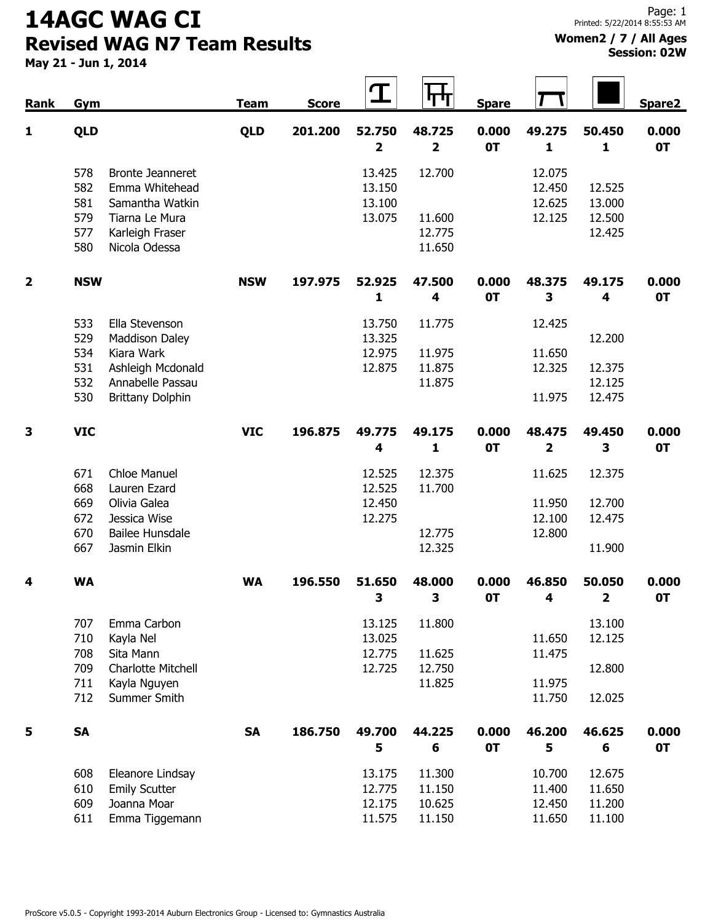## 14AGC WAG CI Revised WAG N7 Team Results

## Women2 / 7 / All Ages Session: 02W

May 21 - Jun 1, 2014

| Rank                    | Gym                                                                                                                                                          | <b>Team</b> | <b>Score</b> | $\mathbf T$                                                     | 旰                                                               | <b>Spare</b>       |                                                      |                                                                 | Spare2             |
|-------------------------|--------------------------------------------------------------------------------------------------------------------------------------------------------------|-------------|--------------|-----------------------------------------------------------------|-----------------------------------------------------------------|--------------------|------------------------------------------------------|-----------------------------------------------------------------|--------------------|
| 1                       | <b>QLD</b>                                                                                                                                                   | <b>QLD</b>  | 201.200      | 52.750                                                          | 48.725                                                          | 0.000              | 49.275                                               | 50.450                                                          | 0.000              |
|                         | 578<br><b>Bronte Jeanneret</b><br>582<br>Emma Whitehead<br>581<br>Samantha Watkin<br>579<br>Tiarna Le Mura<br>577<br>Karleigh Fraser<br>580<br>Nicola Odessa |             |              | $\overline{\mathbf{2}}$<br>13.425<br>13.150<br>13.100<br>13.075 | $\overline{\mathbf{2}}$<br>12.700<br>11.600<br>12.775<br>11.650 | <b>OT</b>          | $\mathbf{1}$<br>12.075<br>12.450<br>12.625<br>12.125 | $\mathbf{1}$<br>12.525<br>13.000<br>12.500<br>12.425            | <b>OT</b>          |
| $\overline{\mathbf{2}}$ | <b>NSW</b>                                                                                                                                                   | <b>NSW</b>  | 197.975      | 52.925<br>1                                                     | 47.500<br>4                                                     | 0.000<br>0T        | 48.375<br>3                                          | 49.175<br>4                                                     | 0.000<br><b>OT</b> |
|                         | 533<br>Ella Stevenson<br>529<br>Maddison Daley<br>534<br>Kiara Wark<br>531<br>Ashleigh Mcdonald<br>532<br>Annabelle Passau<br>530<br><b>Brittany Dolphin</b> |             |              | 13.750<br>13.325<br>12.975<br>12.875                            | 11.775<br>11.975<br>11.875<br>11.875                            |                    | 12.425<br>11.650<br>12.325<br>11.975                 | 12.200<br>12.375<br>12.125<br>12.475                            |                    |
| 3                       | <b>VIC</b>                                                                                                                                                   | <b>VIC</b>  | 196.875      | 49.775<br>4                                                     | 49.175<br>1                                                     | 0.000<br><b>OT</b> | 48.475<br>$\overline{\mathbf{2}}$                    | 49.450<br>3                                                     | 0.000<br><b>OT</b> |
|                         | 671<br><b>Chloe Manuel</b><br>668<br>Lauren Ezard<br>669<br>Olivia Galea<br>672<br>Jessica Wise<br>670<br><b>Bailee Hunsdale</b><br>667<br>Jasmin Elkin      |             |              | 12.525<br>12.525<br>12.450<br>12.275                            | 12.375<br>11.700<br>12.775<br>12.325                            |                    | 11.625<br>11.950<br>12.100<br>12.800                 | 12.375<br>12.700<br>12.475<br>11.900                            |                    |
| 4                       | <b>WA</b>                                                                                                                                                    | <b>WA</b>   | 196.550      | 51.650                                                          | 48.000                                                          | 0.000              | 46.850                                               | 50.050                                                          | 0.000              |
|                         | 707<br>Emma Carbon<br>710<br>Kayla Nel<br>708<br>Sita Mann<br>709<br>Charlotte Mitchell<br>711<br>Kayla Nguyen<br>712<br>Summer Smith                        |             |              | 3<br>13.125<br>13.025<br>12.775<br>12.725                       | 3<br>11.800<br>11.625<br>12.750<br>11.825                       | 0T                 | 4<br>11.650<br>11.475<br>11.975<br>11.750            | $\overline{\mathbf{2}}$<br>13.100<br>12.125<br>12.800<br>12.025 | <b>OT</b>          |
| 5                       | <b>SA</b>                                                                                                                                                    | <b>SA</b>   | 186.750      | 49.700<br>5                                                     | 44.225<br>6                                                     | 0.000<br><b>OT</b> | 46.200<br>5                                          | 46.625<br>6                                                     | 0.000<br>0T        |
|                         | 608<br>Eleanore Lindsay<br>610<br><b>Emily Scutter</b><br>609<br>Joanna Moar<br>611<br>Emma Tiggemann                                                        |             |              | 13.175<br>12.775<br>12.175<br>11.575                            | 11.300<br>11.150<br>10.625<br>11.150                            |                    | 10.700<br>11.400<br>12.450<br>11.650                 | 12.675<br>11.650<br>11.200<br>11.100                            |                    |